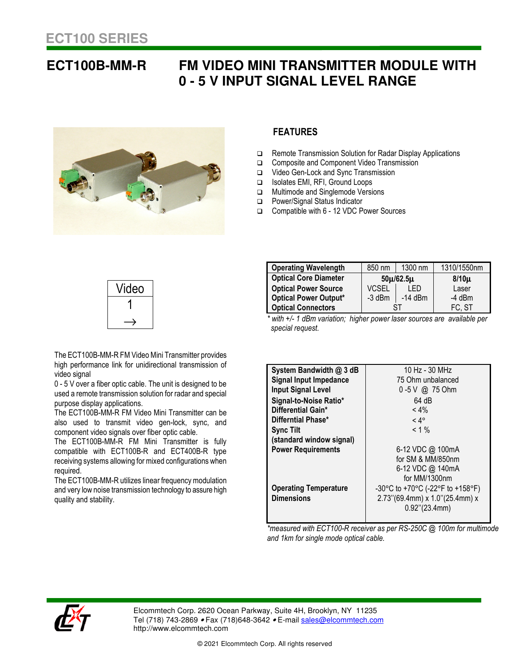## **ECT100B-MM-R FM VIDEO MINI TRANSMITTER MODULE WITH 0 - 5 V INPUT SIGNAL LEVEL RANGE**



## **FEATURES**

- □ Remote Transmission Solution for Radar Display Applications
- Composite and Component Video Transmission
- □ Video Gen-Lock and Sync Transmission
- Isolates EMI, RFI, Ground Loops
- **D** Multimode and Singlemode Versions
- □ Power/Signal Status Indicator
- Compatible with 6 12 VDC Power Sources

| Video |
|-------|
|       |
|       |

compatible with ECT100B-R and ECT400B-R type

receiving systems allowing for mixed configurations when

The ECT100B-MM-R utilizes linear frequency modulation and very low noise transmission technology to assure high

The ECT100B-MM-R FM Mini Transmitter is fully

component video signals over fiber optic cable.

The ECT100B-MM-R FM Video Mini Transmitter provides high performance link for unidirectional transmission of

0 - 5 V over a fiber optic cable. The unit is designed to be used a remote transmission solution for radar and special

The ECT100B-MM-R FM Video Mini Transmitter can be also used to transmit video gen-lock, sync, and

**Operating Wavelength | 850 nm | 1300 nm | 1310/1550nm Optical Core Diameter 50**µ**/62.5**µ **8/10**µ **Optical Power Source**  $\left\{\n \begin{array}{ccc}\n \text{VCSEL} & \text{LED} & \text{Laser} \\
\text{Optical Power Output*} & -3 \text{ dBm} & -14 \text{ dBm}\n \end{array}\n\right\}$ **Optical Power Output\***  $\begin{array}{|c|c|c|c|c|} \hline -3 \text{ dBm} & -14 \text{ dBm} & -4 \text{ dBm} \hline \end{array}$ **Optical Connectors**  $\qquad$  ST FC, ST

with +/- 1 dBm variation; higher power laser sources are available per *special request.* 

| System Bandwidth @ 3 dB       | 10 Hz - 30 MHz                   |
|-------------------------------|----------------------------------|
| <b>Signal Input Impedance</b> | 75 Ohm unbalanced                |
| <b>Input Signal Level</b>     | 0 -5 V @ 75 Ohm                  |
| Signal-to-Noise Ratio*        | 64 dB                            |
| Differential Gain*            | $< 4\%$                          |
| Differntial Phase*            | $< 4^{\circ}$                    |
| <b>Sync Tilt</b>              | $< 1 \%$                         |
| (standard window signal)      |                                  |
| <b>Power Requirements</b>     | 6-12 VDC @ 100mA                 |
|                               | for SM & MM/850nm                |
|                               | 6-12 VDC @ 140mA                 |
|                               | for MM/1300nm                    |
| <b>Operating Temperature</b>  | -30°C to +70°C (-22°F to +158°F) |
| <b>Dimensions</b>             | 2.73"(69.4mm) x 1.0"(25.4mm) x   |
|                               | $0.92$ "(23.4mm)                 |
|                               |                                  |

*\*measured with ECT100-R receiver as per RS-250C @ 100m for multimode and 1km for single mode optical cable.* 



video signal

required.

quality and stability.

purpose display applications.

Elcommtech Corp. 2620 Ocean Parkway, Suite 4H, Brooklyn, NY 11235 Tel (718) 743-2869 • Fax (718)648-3642 • E-mail sales@elcommtech.com http://www.elcommtech.com